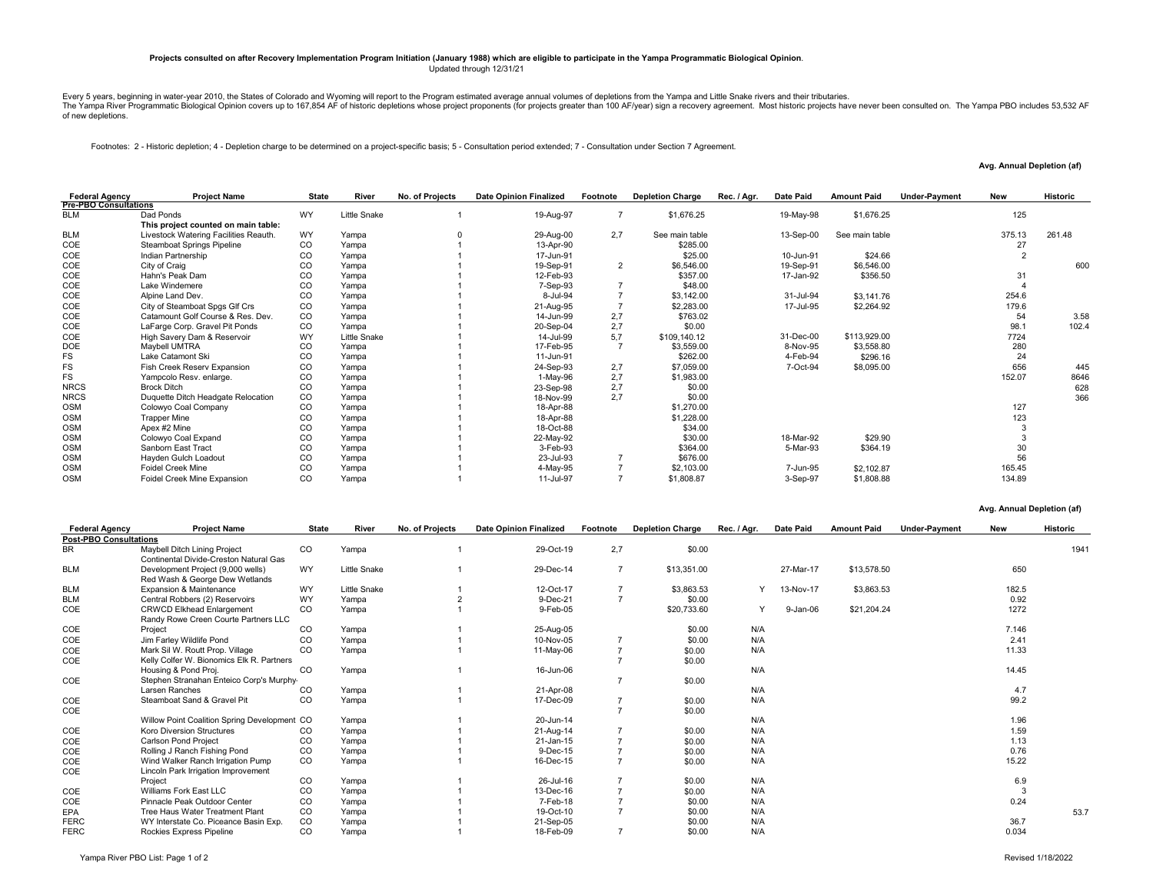## **Projects consulted on after Recovery Implementation Program Initiation (January 1988) which are eligible to participate in the Yampa Programmatic Biological Opinion**. Updated through 12/31/21

Every 5 years, beginning in water-year 2010, the States of Colorado and Wyoming will report to the Program estimated average annual volumes of depletions from the Yampa and Little Snake rivers and their tributaries.<br>The Ya of new depletions.

Footnotes: 2 - Historic depletion; 4 - Depletion charge to be determined on a project-specific basis; 5 - Consultation period extended; 7 - Consultation under Section 7 Agreement.

**Avg. Annual Depletion (af)** 

| <b>Federal Agency</b>        | <b>Project Name</b>                   | <b>State</b>  | River        | No. of Projects | <b>Date Opinion Finalized</b> | Footnote       | <b>Depletion Charge</b> | Date Paid<br>Rec. / Agr. | <b>Amount Paid</b> | <b>Under-Payment</b><br><b>New</b> |        | <b>Historic</b> |
|------------------------------|---------------------------------------|---------------|--------------|-----------------|-------------------------------|----------------|-------------------------|--------------------------|--------------------|------------------------------------|--------|-----------------|
| <b>Pre-PBO Consultations</b> |                                       |               |              |                 |                               |                |                         |                          |                    |                                    |        |                 |
| <b>BLM</b>                   | Dad Ponds                             | WY            | Little Snake |                 | 19-Aug-97                     |                | \$1,676.25              | 19-May-98                | \$1,676.25         |                                    | 125    |                 |
|                              | This project counted on main table:   |               |              |                 |                               |                |                         |                          |                    |                                    |        |                 |
| <b>BLM</b>                   | Livestock Watering Facilities Reauth. | WY            | Yampa        |                 | 29-Aug-00                     | 2,7            | See main table          | 13-Sep-00                | See main table     |                                    | 375.13 | 261.48          |
| COE                          | Steamboat Springs Pipeline            | CO            | Yampa        |                 | 13-Apr-90                     |                | \$285.00                |                          |                    |                                    | 27     |                 |
| COE                          | Indian Partnership                    | CO            | Yampa        |                 | 17-Jun-91                     |                | \$25.00                 | 10-Jun-91                | \$24.66            |                                    |        |                 |
| COE                          | City of Craig                         | <sub>CO</sub> | Yampa        |                 | 19-Sep-91                     | $\overline{2}$ | \$6,546.00              | 19-Sep-91                | \$6,546.00         |                                    |        | 600             |
| COE                          | Hahn's Peak Dam                       | <sub>CO</sub> | Yampa        |                 | 12-Feb-93                     |                | \$357.00                | 17-Jan-92                | \$356.50           |                                    | 31     |                 |
| COE                          | Lake Windemere                        | CO            | Yampa        |                 | 7-Sep-93                      |                | \$48.00                 |                          |                    |                                    |        |                 |
| COE                          | Alpine Land Dev.                      | <sub>CO</sub> | Yampa        |                 | 8-Jul-94                      |                | \$3,142.00              | 31-Jul-94                | \$3,141.76         |                                    | 254.6  |                 |
| COE                          | City of Steamboat Spgs Glf Crs        | CO            | Yampa        |                 | 21-Aug-95                     |                | \$2,283.00              | 17-Jul-95                | \$2,264.92         |                                    | 179.6  |                 |
| COE                          | Catamount Golf Course & Res. Dev.     | CO            | Yampa        |                 | 14-Jun-99                     | 2,7            | \$763.02                |                          |                    |                                    | 54     | 3.58            |
| COE                          | LaFarge Corp. Gravel Pit Ponds        | <sub>CO</sub> | Yampa        |                 | 20-Sep-04                     | 2,7            | \$0.00                  |                          |                    |                                    | 98.1   | 102.4           |
| COE                          | High Savery Dam & Reservoir           | WY            | Little Snake |                 | 14-Jul-99                     | 5,7            | \$109,140.12            | 31-Dec-00                | \$113,929.00       |                                    | 7724   |                 |
| <b>DOE</b>                   | Maybell UMTRA                         | CO            | Yampa        |                 | 17-Feb-95                     |                | \$3,559.00              | 8-Nov-95                 | \$3,558.80         |                                    | 280    |                 |
| FS                           | Lake Catamont Ski                     | CO            | Yampa        |                 | 11-Jun-91                     |                | \$262.00                | 4-Feb-94                 | \$296.16           |                                    | 24     |                 |
| <b>FS</b>                    | Fish Creek Reserv Expansion           | CO            | Yampa        |                 | 24-Sep-93                     | 2,7            | \$7,059.00              | 7-Oct-94                 | \$8,095.00         |                                    | 656    | 445             |
| FS                           | Yampcolo Resv. enlarge.               | CO            | Yampa        |                 | 1-May-96                      | 2,7            | \$1,983.00              |                          |                    |                                    | 152.07 | 8646            |
| <b>NRCS</b>                  | <b>Brock Ditch</b>                    | CO            | Yampa        |                 | 23-Sep-98                     | 2,7            | \$0.00                  |                          |                    |                                    |        | 628             |
| <b>NRCS</b>                  | Duquette Ditch Headgate Relocation    | CO            | Yampa        |                 | 18-Nov-99                     | 2,7            | \$0.00                  |                          |                    |                                    |        | 366             |
| <b>OSM</b>                   | Colowyo Coal Company                  | CO            | Yampa        |                 | 18-Apr-88                     |                | \$1,270.00              |                          |                    |                                    | 127    |                 |
| <b>OSM</b>                   | <b>Trapper Mine</b>                   | CO            | Yampa        |                 | 18-Apr-88                     |                | \$1,228.00              |                          |                    |                                    | 123    |                 |
| <b>OSM</b>                   | Apex #2 Mine                          | CO            | Yampa        |                 | 18-Oct-88                     |                | \$34.00                 |                          |                    |                                    |        |                 |
| <b>OSM</b>                   | Colowyo Coal Expand                   | <sub>CO</sub> | Yampa        |                 | 22-May-92                     |                | \$30.00                 | 18-Mar-92                | \$29.90            |                                    |        |                 |
| <b>OSM</b>                   | Sanborn East Tract                    | CO            | Yampa        |                 | 3-Feb-93                      |                | \$364.00                | 5-Mar-93                 | \$364.19           |                                    | 30     |                 |
| <b>OSM</b>                   | Hayden Gulch Loadout                  | CO            | Yampa        |                 | 23-Jul-93                     |                | \$676.00                |                          |                    |                                    | 56     |                 |
| <b>OSM</b>                   | <b>Foidel Creek Mine</b>              | CO            | Yampa        |                 | 4-May-95                      |                | \$2,103.00              | 7-Jun-95                 | \$2,102.87         |                                    | 165.45 |                 |
| <b>OSM</b>                   | Foidel Creek Mine Expansion           | CO            | Yampa        |                 | 11-Jul-97                     |                | \$1,808.87              | 3-Sep-97                 | \$1,808.88         |                                    | 134.89 |                 |

**Avg. Annual Depletion (af)** 

| <b>Federal Agency</b>         | <b>Project Name</b>                                                           | <b>State</b> | River               | No. of Projects | <b>Date Opinion Finalized</b> | Footnote       | <b>Depletion Charge</b> | Rec. / Agr. | Date Paid | <b>Amount Paid</b> | <b>Under-Payment</b> | <b>New</b> | <b>Historic</b> |
|-------------------------------|-------------------------------------------------------------------------------|--------------|---------------------|-----------------|-------------------------------|----------------|-------------------------|-------------|-----------|--------------------|----------------------|------------|-----------------|
| <b>Post-PBO Consultations</b> |                                                                               |              |                     |                 |                               |                |                         |             |           |                    |                      |            |                 |
| <b>BR</b>                     | <b>Maybell Ditch Lining Project</b><br>Continental Divide-Creston Natural Gas | CO           | Yampa               |                 | 29-Oct-19                     | 2,7            | \$0.00                  |             |           |                    |                      |            | 1941            |
| <b>BLM</b>                    | Development Project (9,000 wells)<br>Red Wash & George Dew Wetlands           | <b>WY</b>    | <b>Little Snake</b> |                 | 29-Dec-14                     | $\overline{7}$ | \$13,351.00             |             | 27-Mar-17 | \$13,578.50        |                      | 650        |                 |
| <b>BLM</b>                    | Expansion & Maintenance                                                       | WY           | <b>Little Snake</b> |                 | 12-Oct-17                     |                | \$3.863.53              | Y           | 13-Nov-17 | \$3,863.53         |                      | 182.5      |                 |
| <b>BLM</b>                    | Central Robbers (2) Reservoirs                                                | <b>WY</b>    | Yampa               |                 | 9-Dec-21                      | $\overline{z}$ | \$0.00                  |             |           |                    |                      | 0.92       |                 |
| COE                           | <b>CRWCD Elkhead Enlargement</b>                                              | $_{\rm CO}$  | Yampa               |                 | 9-Feb-05                      |                | \$20,733.60             | Y           | 9-Jan-06  | \$21,204.24        |                      | 1272       |                 |
|                               | Randy Rowe Creen Courte Partners LLC                                          |              |                     |                 |                               |                |                         |             |           |                    |                      |            |                 |
| COE                           | Project                                                                       | CO           | Yampa               |                 | 25-Aug-05                     |                | \$0.00                  | N/A         |           |                    |                      | 7.146      |                 |
| COE                           | Jim Farley Wildlife Pond                                                      | CO           | Yampa               |                 | 10-Nov-05                     |                | \$0.00                  | N/A         |           |                    |                      | 2.41       |                 |
| COE                           | Mark Sil W. Routt Prop. Village                                               | <b>CO</b>    | Yampa               |                 | 11-May-06                     | $\overline{7}$ | \$0.00                  | N/A         |           |                    |                      | 11.33      |                 |
| COE                           | Kelly Colfer W. Bionomics Elk R. Partners                                     |              |                     |                 |                               |                | \$0.00                  |             |           |                    |                      |            |                 |
|                               | Housing & Pond Proj.                                                          | CO           | Yampa               |                 | 16-Jun-06                     |                |                         | N/A         |           |                    |                      | 14.45      |                 |
| COE                           | Stephen Stranahan Enteico Corp's Murphy-                                      |              |                     |                 |                               |                | \$0.00                  |             |           |                    |                      |            |                 |
|                               | Larsen Ranches                                                                | CO           | Yampa               |                 | 21-Apr-08                     |                |                         | N/A         |           |                    |                      | 4.7        |                 |
| COE                           | Steamboat Sand & Gravel Pit                                                   | <b>CO</b>    | Yampa               |                 | 17-Dec-09                     |                | \$0.00                  | N/A         |           |                    |                      | 99.2       |                 |
| COE                           |                                                                               |              |                     |                 |                               | $\overline{7}$ | \$0.00                  |             |           |                    |                      |            |                 |
|                               | Willow Point Coalition Spring Development CO                                  |              | Yampa               |                 | 20-Jun-14                     |                |                         | N/A         |           |                    |                      | 1.96       |                 |
| COE                           | <b>Koro Diversion Structures</b>                                              | CO           | Yampa               |                 | 21-Aug-14                     |                | \$0.00                  | N/A         |           |                    |                      | 1.59       |                 |
| COE                           | <b>Carlson Pond Project</b>                                                   | CO           | Yampa               |                 | 21-Jan-15                     |                | \$0.00                  | N/A         |           |                    |                      | 1.13       |                 |
| COE                           | Rolling J Ranch Fishing Pond                                                  | CO           | Yampa               |                 | 9-Dec-15                      |                | \$0.00                  | N/A         |           |                    |                      | 0.76       |                 |
| COE                           | Wind Walker Ranch Irrigation Pump                                             | $_{\rm CO}$  | Yampa               |                 | 16-Dec-15                     | $\overline{ }$ | \$0.00                  | N/A         |           |                    |                      | 15.22      |                 |
| COE                           | Lincoln Park Irrigation Improvement                                           |              |                     |                 |                               |                |                         |             |           |                    |                      |            |                 |
|                               | Project                                                                       | CO           | Yampa               |                 | 26-Jul-16                     |                | \$0.00                  | N/A         |           |                    |                      | 6.9        |                 |
| COE                           | Williams Fork East LLC                                                        | CO           | Yampa               |                 | 13-Dec-16                     |                | \$0.00                  | N/A         |           |                    |                      | 3          |                 |
| COE                           | Pinnacle Peak Outdoor Center                                                  | CO           | Yampa               |                 | 7-Feb-18                      |                | \$0.00                  | N/A         |           |                    |                      | 0.24       |                 |
| EPA                           | Tree Haus Water Treatment Plant                                               | <b>CO</b>    | Yampa               |                 | 19-Oct-10                     |                | \$0.00                  | N/A         |           |                    |                      |            | 53.7            |
| <b>FERC</b>                   | WY Interstate Co. Piceance Basin Exp.                                         | $_{\rm CO}$  | Yampa               |                 | 21-Sep-05                     |                | \$0.00                  | N/A         |           |                    |                      | 36.7       |                 |
| <b>FERC</b>                   | Rockies Express Pipeline                                                      | CO           | Yampa               |                 | 18-Feb-09                     |                | \$0.00                  | N/A         |           |                    |                      | 0.034      |                 |